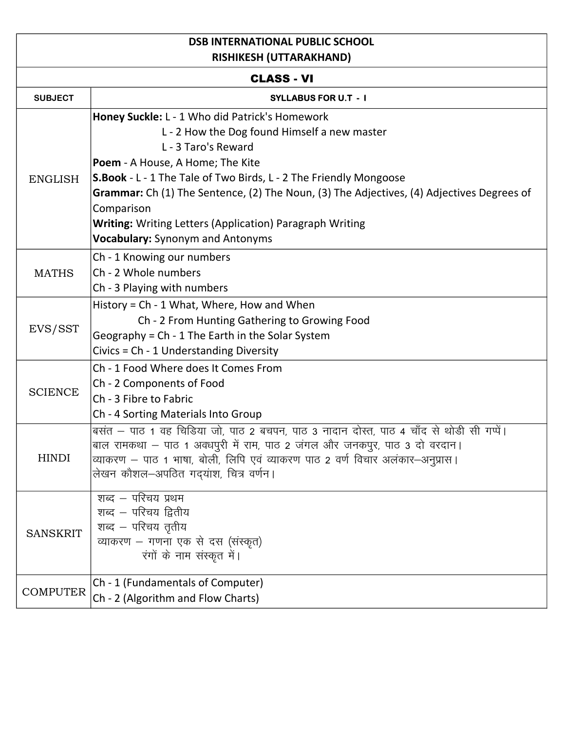## **DSB INTERNATIONAL PUBLIC SCHOOL RISHIKESH (UTTARAKHAND)**

| <b>CLASS - VI</b> |                                                                                                                                                                                                                                                                                                                                                                                                                                                         |  |
|-------------------|---------------------------------------------------------------------------------------------------------------------------------------------------------------------------------------------------------------------------------------------------------------------------------------------------------------------------------------------------------------------------------------------------------------------------------------------------------|--|
| <b>SUBJECT</b>    | <b>SYLLABUS FOR U.T - I</b>                                                                                                                                                                                                                                                                                                                                                                                                                             |  |
| <b>ENGLISH</b>    | Honey Suckle: L - 1 Who did Patrick's Homework<br>L - 2 How the Dog found Himself a new master<br>L - 3 Taro's Reward<br>Poem - A House, A Home; The Kite<br><b>S.Book</b> - L - 1 The Tale of Two Birds, L - 2 The Friendly Mongoose<br>Grammar: Ch (1) The Sentence, (2) The Noun, (3) The Adjectives, (4) Adjectives Degrees of<br>Comparison<br><b>Writing:</b> Writing Letters (Application) Paragraph Writing<br>Vocabulary: Synonym and Antonyms |  |
| <b>MATHS</b>      | Ch - 1 Knowing our numbers<br>Ch - 2 Whole numbers<br>Ch - 3 Playing with numbers                                                                                                                                                                                                                                                                                                                                                                       |  |
| EVS/SST           | History = Ch - 1 What, Where, How and When<br>Ch - 2 From Hunting Gathering to Growing Food<br>Geography = Ch - 1 The Earth in the Solar System<br>Civics = Ch - 1 Understanding Diversity                                                                                                                                                                                                                                                              |  |
| <b>SCIENCE</b>    | Ch - 1 Food Where does It Comes From<br>Ch - 2 Components of Food<br>Ch - 3 Fibre to Fabric<br>Ch - 4 Sorting Materials Into Group                                                                                                                                                                                                                                                                                                                      |  |
| <b>HINDI</b>      | बसंत – पाठ 1 वह चिडिया जो, पाठ 2 बचपन, पाठ 3 नादान दोस्त, पाठ 4 चाँद से थोडी सी गप्पें।<br>बाल रामकथा – पाठ 1 अवधपुरी में राम, पाठ 2 जंगल और जनकपुर, पाठ 3 दो वरदान।<br>व्याकरण – पाठ 1 भाषा, बोली, लिपि एवं व्याकरण पाठ 2 वर्ण विचार अलंकार–अनुप्रास।<br>लेखन कौशल–अपठित गद्यांश, चित्र वर्णन।                                                                                                                                                         |  |
| <b>SANSKRIT</b>   | शब्द – परिचय प्रथम<br>शब्द – परिचय द्वितीय<br>शब्द – परिचय तृतीय<br>व्याकरण - गणना एक से दस (संस्कृत)<br>रंगों के नाम संस्कृत में।                                                                                                                                                                                                                                                                                                                      |  |
| <b>COMPUTER</b>   | Ch - 1 (Fundamentals of Computer)<br>Ch - 2 (Algorithm and Flow Charts)                                                                                                                                                                                                                                                                                                                                                                                 |  |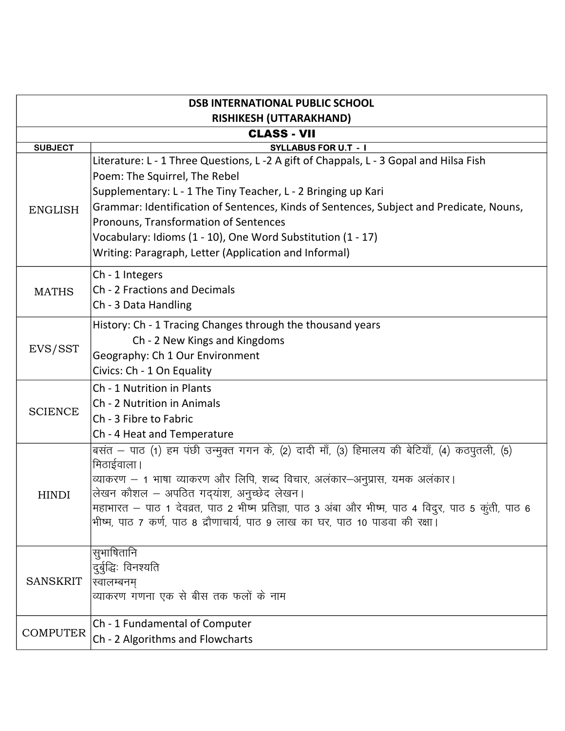| <b>DSB INTERNATIONAL PUBLIC SCHOOL</b> |                                                                                                      |  |
|----------------------------------------|------------------------------------------------------------------------------------------------------|--|
| <b>RISHIKESH (UTTARAKHAND)</b>         |                                                                                                      |  |
| <b>CLASS - VII</b>                     |                                                                                                      |  |
| <b>SUBJECT</b>                         | <b>SYLLABUS FOR U.T - I</b>                                                                          |  |
|                                        | Literature: L - 1 Three Questions, L -2 A gift of Chappals, L - 3 Gopal and Hilsa Fish               |  |
| <b>ENGLISH</b>                         | Poem: The Squirrel, The Rebel                                                                        |  |
|                                        | Supplementary: L - 1 The Tiny Teacher, L - 2 Bringing up Kari                                        |  |
|                                        | Grammar: Identification of Sentences, Kinds of Sentences, Subject and Predicate, Nouns,              |  |
|                                        | Pronouns, Transformation of Sentences                                                                |  |
|                                        | Vocabulary: Idioms (1 - 10), One Word Substitution (1 - 17)                                          |  |
|                                        | Writing: Paragraph, Letter (Application and Informal)                                                |  |
|                                        |                                                                                                      |  |
| <b>MATHS</b>                           | Ch - 1 Integers                                                                                      |  |
|                                        | Ch - 2 Fractions and Decimals                                                                        |  |
|                                        | Ch - 3 Data Handling                                                                                 |  |
|                                        | History: Ch - 1 Tracing Changes through the thousand years                                           |  |
| EVS/SST                                | Ch - 2 New Kings and Kingdoms                                                                        |  |
|                                        | Geography: Ch 1 Our Environment                                                                      |  |
|                                        | Civics: Ch - 1 On Equality                                                                           |  |
|                                        | Ch - 1 Nutrition in Plants                                                                           |  |
|                                        | Ch - 2 Nutrition in Animals                                                                          |  |
| <b>SCIENCE</b>                         | Ch - 3 Fibre to Fabric                                                                               |  |
|                                        | Ch - 4 Heat and Temperature                                                                          |  |
| <b>HINDI</b>                           | बसंत – पाठ (1) हम पंछी उन्मुक्त गगन के, (2) दादी माँ, (3) हिमालय की बेटियाँ, (4) कठपुतली, (5)        |  |
|                                        | मिठाईवाला ।                                                                                          |  |
|                                        | व्याकरण – 1 भाषा व्याकरण और लिपि, शब्द विचार, अलंकार–अनुप्रास, यमक अलंकार।                           |  |
|                                        | लेखन कौशल - अपठित गद्यांश, अनुच्छेद लेखन।                                                            |  |
|                                        | महाभारत – पाठ 1 देवव्रत, पाठ 2 भीष्म प्रतिज्ञा, पाठ 3 अंबा और भीष्म, पाठ 4 विदुर, पाठ 5 कुंती, पाठ 6 |  |
|                                        | भीष्म, पाठ 7 कर्ण, पाठ 8 द्रौणाचार्य, पाठ 9 लाख का घर, पाठ 10 पाडवा की रक्षा।                        |  |
|                                        | सुभाषितानि                                                                                           |  |
|                                        | दुर्बुद्धिः विनश्यति                                                                                 |  |
| <b>SANSKRIT</b>                        | स्वालम्बनम्                                                                                          |  |
|                                        | व्याकरण गणना एक से बीस तक फलों के नाम                                                                |  |
| <b>COMPUTER</b>                        | Ch - 1 Fundamental of Computer                                                                       |  |
|                                        | Ch - 2 Algorithms and Flowcharts                                                                     |  |
|                                        |                                                                                                      |  |